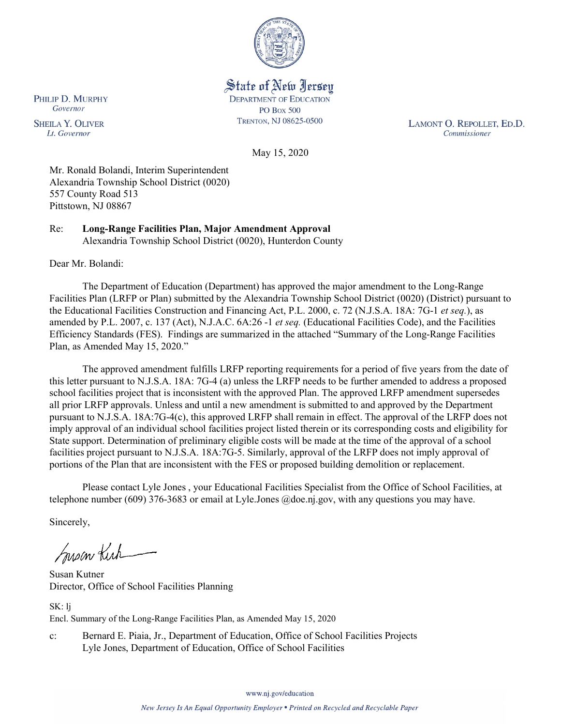

State of New Jersey **DEPARTMENT OF EDUCATION PO Box 500** TRENTON, NJ 08625-0500

LAMONT O. REPOLLET, ED.D. Commissioner

May 15, 2020

Mr. Ronald Bolandi, Interim Superintendent Alexandria Township School District (0020) 557 County Road 513 Pittstown, NJ 08867

Re: **Long-Range Facilities Plan, Major Amendment Approval** Alexandria Township School District (0020), Hunterdon County

Dear Mr. Bolandi:

PHILIP D. MURPHY Governor

**SHEILA Y. OLIVER** 

Lt. Governor

The Department of Education (Department) has approved the major amendment to the Long-Range Facilities Plan (LRFP or Plan) submitted by the Alexandria Township School District (0020) (District) pursuant to the Educational Facilities Construction and Financing Act, P.L. 2000, c. 72 (N.J.S.A. 18A: 7G-1 *et seq.*), as amended by P.L. 2007, c. 137 (Act), N.J.A.C. 6A:26 -1 *et seq.* (Educational Facilities Code), and the Facilities Efficiency Standards (FES). Findings are summarized in the attached "Summary of the Long-Range Facilities Plan, as Amended May 15, 2020."

The approved amendment fulfills LRFP reporting requirements for a period of five years from the date of this letter pursuant to N.J.S.A. 18A: 7G-4 (a) unless the LRFP needs to be further amended to address a proposed school facilities project that is inconsistent with the approved Plan. The approved LRFP amendment supersedes all prior LRFP approvals. Unless and until a new amendment is submitted to and approved by the Department pursuant to N.J.S.A. 18A:7G-4(c), this approved LRFP shall remain in effect. The approval of the LRFP does not imply approval of an individual school facilities project listed therein or its corresponding costs and eligibility for State support. Determination of preliminary eligible costs will be made at the time of the approval of a school facilities project pursuant to N.J.S.A. 18A:7G-5. Similarly, approval of the LRFP does not imply approval of portions of the Plan that are inconsistent with the FES or proposed building demolition or replacement.

Please contact Lyle Jones , your Educational Facilities Specialist from the Office of School Facilities, at telephone number (609) 376-3683 or email at Lyle.Jones @doe.nj.gov, with any questions you may have.

Sincerely,

Susan Kich

Susan Kutner Director, Office of School Facilities Planning

SK: lj Encl. Summary of the Long-Range Facilities Plan, as Amended May 15, 2020

c: Bernard E. Piaia, Jr., Department of Education, Office of School Facilities Projects Lyle Jones, Department of Education, Office of School Facilities

www.nj.gov/education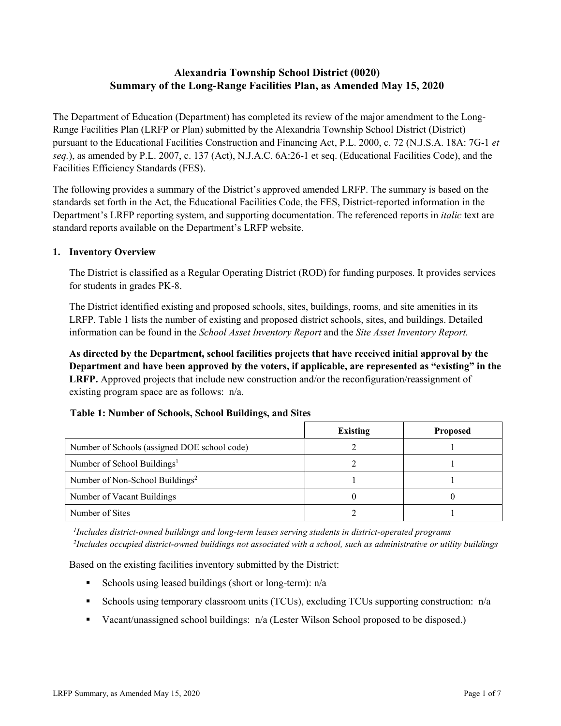# **Alexandria Township School District (0020) Summary of the Long-Range Facilities Plan, as Amended May 15, 2020**

The Department of Education (Department) has completed its review of the major amendment to the Long-Range Facilities Plan (LRFP or Plan) submitted by the Alexandria Township School District (District) pursuant to the Educational Facilities Construction and Financing Act, P.L. 2000, c. 72 (N.J.S.A. 18A: 7G-1 *et seq.*), as amended by P.L. 2007, c. 137 (Act), N.J.A.C. 6A:26-1 et seq. (Educational Facilities Code), and the Facilities Efficiency Standards (FES).

The following provides a summary of the District's approved amended LRFP. The summary is based on the standards set forth in the Act, the Educational Facilities Code, the FES, District-reported information in the Department's LRFP reporting system, and supporting documentation. The referenced reports in *italic* text are standard reports available on the Department's LRFP website.

#### **1. Inventory Overview**

The District is classified as a Regular Operating District (ROD) for funding purposes. It provides services for students in grades PK-8.

The District identified existing and proposed schools, sites, buildings, rooms, and site amenities in its LRFP. Table 1 lists the number of existing and proposed district schools, sites, and buildings. Detailed information can be found in the *School Asset Inventory Report* and the *Site Asset Inventory Report.*

**As directed by the Department, school facilities projects that have received initial approval by the Department and have been approved by the voters, if applicable, are represented as "existing" in the LRFP.** Approved projects that include new construction and/or the reconfiguration/reassignment of existing program space are as follows: n/a.

| <b>Table 1. Number of Schools, School Bundings, and Sites</b> |          |                 |
|---------------------------------------------------------------|----------|-----------------|
|                                                               | Existing | <b>Proposed</b> |
| Number of Schools (assigned DOE school code)                  |          |                 |
| Number of School Buildings <sup>1</sup>                       |          |                 |
| Number of Non-School Buildings <sup>2</sup>                   |          |                 |
| Number of Vacant Buildings                                    |          |                 |
|                                                               |          |                 |

Number of Sites 1

## **Table 1: Number of Schools, School Buildings, and Sites**

*1 Includes district-owned buildings and long-term leases serving students in district-operated programs 2 Includes occupied district-owned buildings not associated with a school, such as administrative or utility buildings*

Based on the existing facilities inventory submitted by the District:

- Schools using leased buildings (short or long-term):  $n/a$
- Schools using temporary classroom units (TCUs), excluding TCUs supporting construction:  $n/a$
- Vacant/unassigned school buildings: n/a (Lester Wilson School proposed to be disposed.)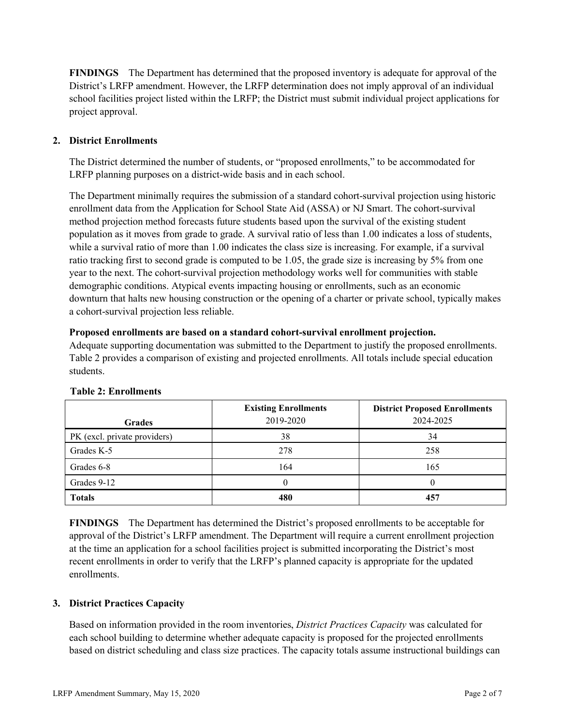**FINDINGS** The Department has determined that the proposed inventory is adequate for approval of the District's LRFP amendment. However, the LRFP determination does not imply approval of an individual school facilities project listed within the LRFP; the District must submit individual project applications for project approval.

## **2. District Enrollments**

The District determined the number of students, or "proposed enrollments," to be accommodated for LRFP planning purposes on a district-wide basis and in each school.

The Department minimally requires the submission of a standard cohort-survival projection using historic enrollment data from the Application for School State Aid (ASSA) or NJ Smart. The cohort-survival method projection method forecasts future students based upon the survival of the existing student population as it moves from grade to grade. A survival ratio of less than 1.00 indicates a loss of students, while a survival ratio of more than 1.00 indicates the class size is increasing. For example, if a survival ratio tracking first to second grade is computed to be 1.05, the grade size is increasing by 5% from one year to the next. The cohort-survival projection methodology works well for communities with stable demographic conditions. Atypical events impacting housing or enrollments, such as an economic downturn that halts new housing construction or the opening of a charter or private school, typically makes a cohort-survival projection less reliable.

#### **Proposed enrollments are based on a standard cohort-survival enrollment projection.**

Adequate supporting documentation was submitted to the Department to justify the proposed enrollments. Table 2 provides a comparison of existing and projected enrollments. All totals include special education students.

|                              | <b>Existing Enrollments</b> | <b>District Proposed Enrollments</b> |
|------------------------------|-----------------------------|--------------------------------------|
| <b>Grades</b>                | 2019-2020                   | 2024-2025                            |
| PK (excl. private providers) | 38                          | 34                                   |
| Grades K-5                   | 278                         | 258                                  |
| Grades 6-8                   | 164                         | 165                                  |
| Grades 9-12                  |                             |                                      |
| <b>Totals</b>                | 480                         | 457                                  |

## **Table 2: Enrollments**

**FINDINGS** The Department has determined the District's proposed enrollments to be acceptable for approval of the District's LRFP amendment. The Department will require a current enrollment projection at the time an application for a school facilities project is submitted incorporating the District's most recent enrollments in order to verify that the LRFP's planned capacity is appropriate for the updated enrollments.

## **3. District Practices Capacity**

Based on information provided in the room inventories, *District Practices Capacity* was calculated for each school building to determine whether adequate capacity is proposed for the projected enrollments based on district scheduling and class size practices. The capacity totals assume instructional buildings can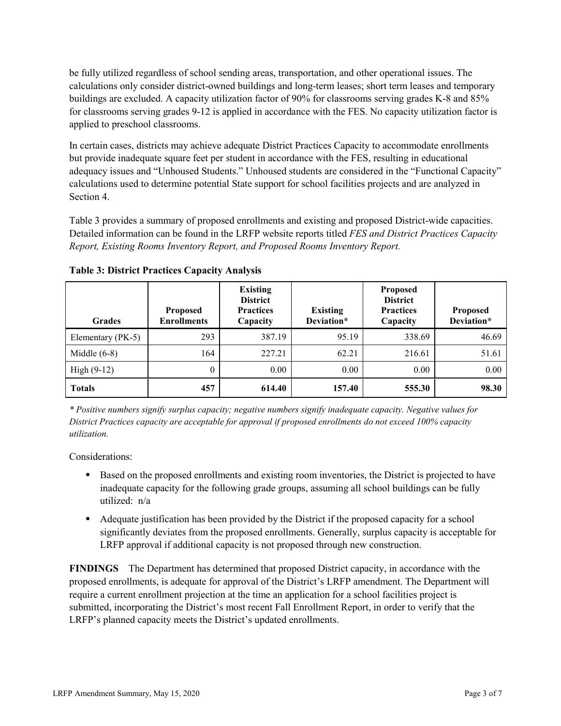be fully utilized regardless of school sending areas, transportation, and other operational issues. The calculations only consider district-owned buildings and long-term leases; short term leases and temporary buildings are excluded. A capacity utilization factor of 90% for classrooms serving grades K-8 and 85% for classrooms serving grades 9-12 is applied in accordance with the FES. No capacity utilization factor is applied to preschool classrooms.

In certain cases, districts may achieve adequate District Practices Capacity to accommodate enrollments but provide inadequate square feet per student in accordance with the FES, resulting in educational adequacy issues and "Unhoused Students." Unhoused students are considered in the "Functional Capacity" calculations used to determine potential State support for school facilities projects and are analyzed in Section 4.

Table 3 provides a summary of proposed enrollments and existing and proposed District-wide capacities. Detailed information can be found in the LRFP website reports titled *FES and District Practices Capacity Report, Existing Rooms Inventory Report, and Proposed Rooms Inventory Report.*

| <b>Grades</b>     | <b>Proposed</b><br><b>Enrollments</b> | <b>Existing</b><br><b>District</b><br><b>Practices</b><br>Capacity | <b>Existing</b><br>Deviation* | <b>Proposed</b><br><b>District</b><br><b>Practices</b><br>Capacity | <b>Proposed</b><br>Deviation* |
|-------------------|---------------------------------------|--------------------------------------------------------------------|-------------------------------|--------------------------------------------------------------------|-------------------------------|
| Elementary (PK-5) | 293                                   | 387.19                                                             | 95.19                         | 338.69                                                             | 46.69                         |
| Middle $(6-8)$    | 164                                   | 227.21                                                             | 62.21                         | 216.61                                                             | 51.61                         |
| High $(9-12)$     | $\theta$                              | 0.00                                                               | 0.00                          | 0.00                                                               | 0.00                          |
| <b>Totals</b>     | 457                                   | 614.40                                                             | 157.40                        | 555.30                                                             | 98.30                         |

**Table 3: District Practices Capacity Analysis**

*\* Positive numbers signify surplus capacity; negative numbers signify inadequate capacity. Negative values for District Practices capacity are acceptable for approval if proposed enrollments do not exceed 100% capacity utilization.*

Considerations:

- **Based on the proposed enrollments and existing room inventories, the District is projected to have** inadequate capacity for the following grade groups, assuming all school buildings can be fully utilized: n/a
- Adequate justification has been provided by the District if the proposed capacity for a school significantly deviates from the proposed enrollments. Generally, surplus capacity is acceptable for LRFP approval if additional capacity is not proposed through new construction.

**FINDINGS**The Department has determined that proposed District capacity, in accordance with the proposed enrollments, is adequate for approval of the District's LRFP amendment. The Department will require a current enrollment projection at the time an application for a school facilities project is submitted, incorporating the District's most recent Fall Enrollment Report, in order to verify that the LRFP's planned capacity meets the District's updated enrollments.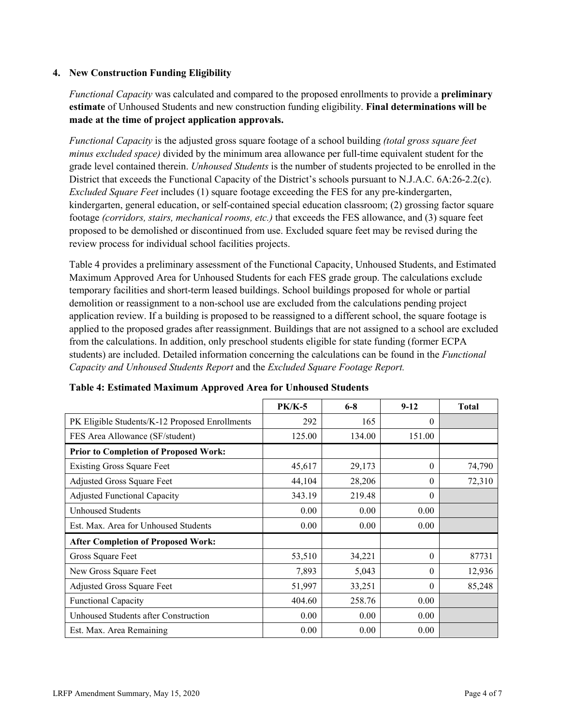#### **4. New Construction Funding Eligibility**

*Functional Capacity* was calculated and compared to the proposed enrollments to provide a **preliminary estimate** of Unhoused Students and new construction funding eligibility. **Final determinations will be made at the time of project application approvals.**

*Functional Capacity* is the adjusted gross square footage of a school building *(total gross square feet minus excluded space)* divided by the minimum area allowance per full-time equivalent student for the grade level contained therein. *Unhoused Students* is the number of students projected to be enrolled in the District that exceeds the Functional Capacity of the District's schools pursuant to N.J.A.C. 6A:26-2.2(c). *Excluded Square Feet* includes (1) square footage exceeding the FES for any pre-kindergarten, kindergarten, general education, or self-contained special education classroom; (2) grossing factor square footage *(corridors, stairs, mechanical rooms, etc.)* that exceeds the FES allowance, and (3) square feet proposed to be demolished or discontinued from use. Excluded square feet may be revised during the review process for individual school facilities projects.

Table 4 provides a preliminary assessment of the Functional Capacity, Unhoused Students, and Estimated Maximum Approved Area for Unhoused Students for each FES grade group. The calculations exclude temporary facilities and short-term leased buildings. School buildings proposed for whole or partial demolition or reassignment to a non-school use are excluded from the calculations pending project application review. If a building is proposed to be reassigned to a different school, the square footage is applied to the proposed grades after reassignment. Buildings that are not assigned to a school are excluded from the calculations. In addition, only preschool students eligible for state funding (former ECPA students) are included. Detailed information concerning the calculations can be found in the *Functional Capacity and Unhoused Students Report* and the *Excluded Square Footage Report.*

|                                                | <b>PK/K-5</b> | $6 - 8$ | $9 - 12$ | <b>Total</b> |
|------------------------------------------------|---------------|---------|----------|--------------|
| PK Eligible Students/K-12 Proposed Enrollments | 292           | 165     | $\theta$ |              |
| FES Area Allowance (SF/student)                | 125.00        | 134.00  | 151.00   |              |
| <b>Prior to Completion of Proposed Work:</b>   |               |         |          |              |
| <b>Existing Gross Square Feet</b>              | 45,617        | 29,173  | $\theta$ | 74,790       |
| Adjusted Gross Square Feet                     | 44,104        | 28,206  | $\theta$ | 72,310       |
| <b>Adjusted Functional Capacity</b>            | 343.19        | 219.48  | $\theta$ |              |
| <b>Unhoused Students</b>                       | 0.00          | 0.00    | 0.00     |              |
| Est. Max. Area for Unhoused Students           | 0.00          | 0.00    | 0.00     |              |
| <b>After Completion of Proposed Work:</b>      |               |         |          |              |
| Gross Square Feet                              | 53,510        | 34,221  | $\theta$ | 87731        |
| New Gross Square Feet                          | 7,893         | 5,043   | $\theta$ | 12,936       |
| Adjusted Gross Square Feet                     | 51,997        | 33,251  | $\Omega$ | 85,248       |
| Functional Capacity                            | 404.60        | 258.76  | 0.00     |              |
| Unhoused Students after Construction           | 0.00          | 0.00    | 0.00     |              |
| Est. Max. Area Remaining                       | 0.00          | 0.00    | 0.00     |              |

**Table 4: Estimated Maximum Approved Area for Unhoused Students**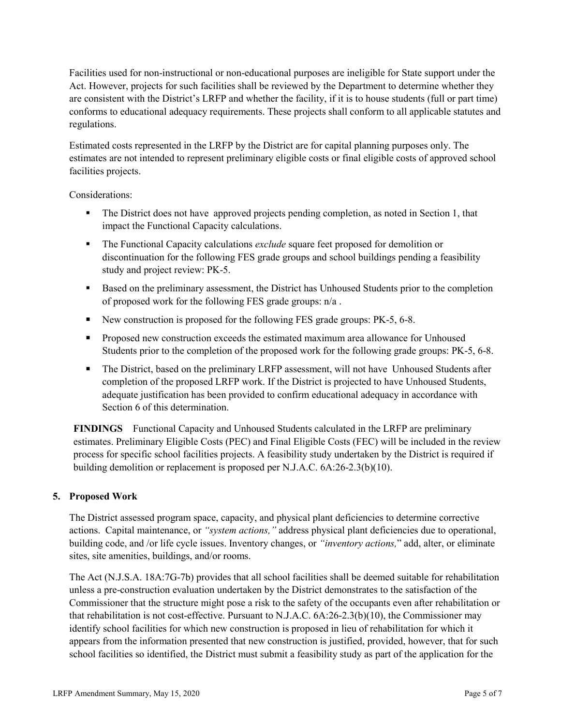Facilities used for non-instructional or non-educational purposes are ineligible for State support under the Act. However, projects for such facilities shall be reviewed by the Department to determine whether they are consistent with the District's LRFP and whether the facility, if it is to house students (full or part time) conforms to educational adequacy requirements. These projects shall conform to all applicable statutes and regulations.

Estimated costs represented in the LRFP by the District are for capital planning purposes only. The estimates are not intended to represent preliminary eligible costs or final eligible costs of approved school facilities projects.

Considerations:

- The District does not have approved projects pending completion, as noted in Section 1, that impact the Functional Capacity calculations.
- The Functional Capacity calculations *exclude* square feet proposed for demolition or discontinuation for the following FES grade groups and school buildings pending a feasibility study and project review: PK-5.
- Based on the preliminary assessment, the District has Unhoused Students prior to the completion of proposed work for the following FES grade groups: n/a .
- New construction is proposed for the following FES grade groups: PK-5, 6-8.
- **Proposed new construction exceeds the estimated maximum area allowance for Unhoused** Students prior to the completion of the proposed work for the following grade groups: PK-5, 6-8.
- The District, based on the preliminary LRFP assessment, will not have Unhoused Students after completion of the proposed LRFP work. If the District is projected to have Unhoused Students, adequate justification has been provided to confirm educational adequacy in accordance with Section 6 of this determination.

**FINDINGS** Functional Capacity and Unhoused Students calculated in the LRFP are preliminary estimates. Preliminary Eligible Costs (PEC) and Final Eligible Costs (FEC) will be included in the review process for specific school facilities projects. A feasibility study undertaken by the District is required if building demolition or replacement is proposed per N.J.A.C. 6A:26-2.3(b)(10).

## **5. Proposed Work**

The District assessed program space, capacity, and physical plant deficiencies to determine corrective actions. Capital maintenance, or *"system actions,"* address physical plant deficiencies due to operational, building code, and /or life cycle issues. Inventory changes, or *"inventory actions,*" add, alter, or eliminate sites, site amenities, buildings, and/or rooms.

The Act (N.J.S.A. 18A:7G-7b) provides that all school facilities shall be deemed suitable for rehabilitation unless a pre-construction evaluation undertaken by the District demonstrates to the satisfaction of the Commissioner that the structure might pose a risk to the safety of the occupants even after rehabilitation or that rehabilitation is not cost-effective. Pursuant to N.J.A.C. 6A:26-2.3(b)(10), the Commissioner may identify school facilities for which new construction is proposed in lieu of rehabilitation for which it appears from the information presented that new construction is justified, provided, however, that for such school facilities so identified, the District must submit a feasibility study as part of the application for the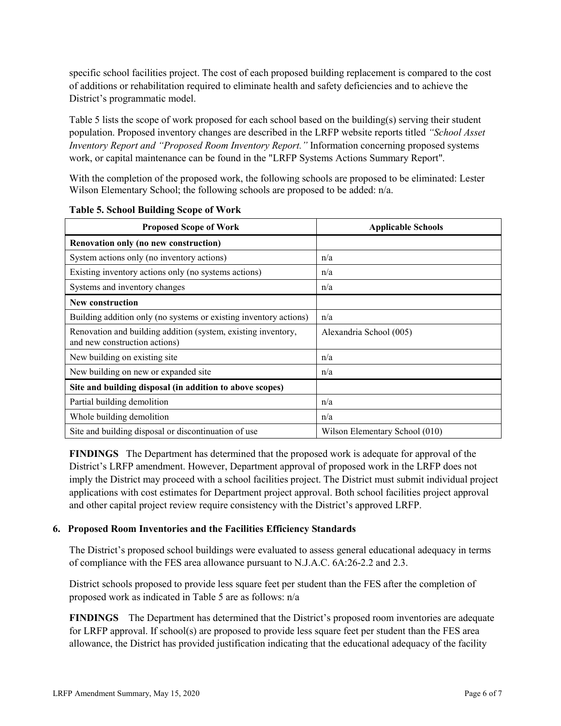specific school facilities project. The cost of each proposed building replacement is compared to the cost of additions or rehabilitation required to eliminate health and safety deficiencies and to achieve the District's programmatic model.

Table 5 lists the scope of work proposed for each school based on the building(s) serving their student population. Proposed inventory changes are described in the LRFP website reports titled *"School Asset Inventory Report and "Proposed Room Inventory Report."* Information concerning proposed systems work, or capital maintenance can be found in the "LRFP Systems Actions Summary Report".

With the completion of the proposed work, the following schools are proposed to be eliminated: Lester Wilson Elementary School; the following schools are proposed to be added:  $n/a$ .

| <b>Proposed Scope of Work</b>                                                                  | <b>Applicable Schools</b>      |
|------------------------------------------------------------------------------------------------|--------------------------------|
| Renovation only (no new construction)                                                          |                                |
| System actions only (no inventory actions)                                                     | n/a                            |
| Existing inventory actions only (no systems actions)                                           | n/a                            |
| Systems and inventory changes                                                                  | n/a                            |
| <b>New construction</b>                                                                        |                                |
| Building addition only (no systems or existing inventory actions)                              | n/a                            |
| Renovation and building addition (system, existing inventory,<br>and new construction actions) | Alexandria School (005)        |
| New building on existing site                                                                  | n/a                            |
| New building on new or expanded site                                                           | n/a                            |
| Site and building disposal (in addition to above scopes)                                       |                                |
| Partial building demolition                                                                    | n/a                            |
| Whole building demolition                                                                      | n/a                            |
| Site and building disposal or discontinuation of use                                           | Wilson Elementary School (010) |

**Table 5. School Building Scope of Work**

**FINDINGS** The Department has determined that the proposed work is adequate for approval of the District's LRFP amendment. However, Department approval of proposed work in the LRFP does not imply the District may proceed with a school facilities project. The District must submit individual project applications with cost estimates for Department project approval. Both school facilities project approval and other capital project review require consistency with the District's approved LRFP.

#### **6. Proposed Room Inventories and the Facilities Efficiency Standards**

The District's proposed school buildings were evaluated to assess general educational adequacy in terms of compliance with the FES area allowance pursuant to N.J.A.C. 6A:26-2.2 and 2.3.

District schools proposed to provide less square feet per student than the FES after the completion of proposed work as indicated in Table 5 are as follows: n/a

**FINDINGS** The Department has determined that the District's proposed room inventories are adequate for LRFP approval. If school(s) are proposed to provide less square feet per student than the FES area allowance, the District has provided justification indicating that the educational adequacy of the facility